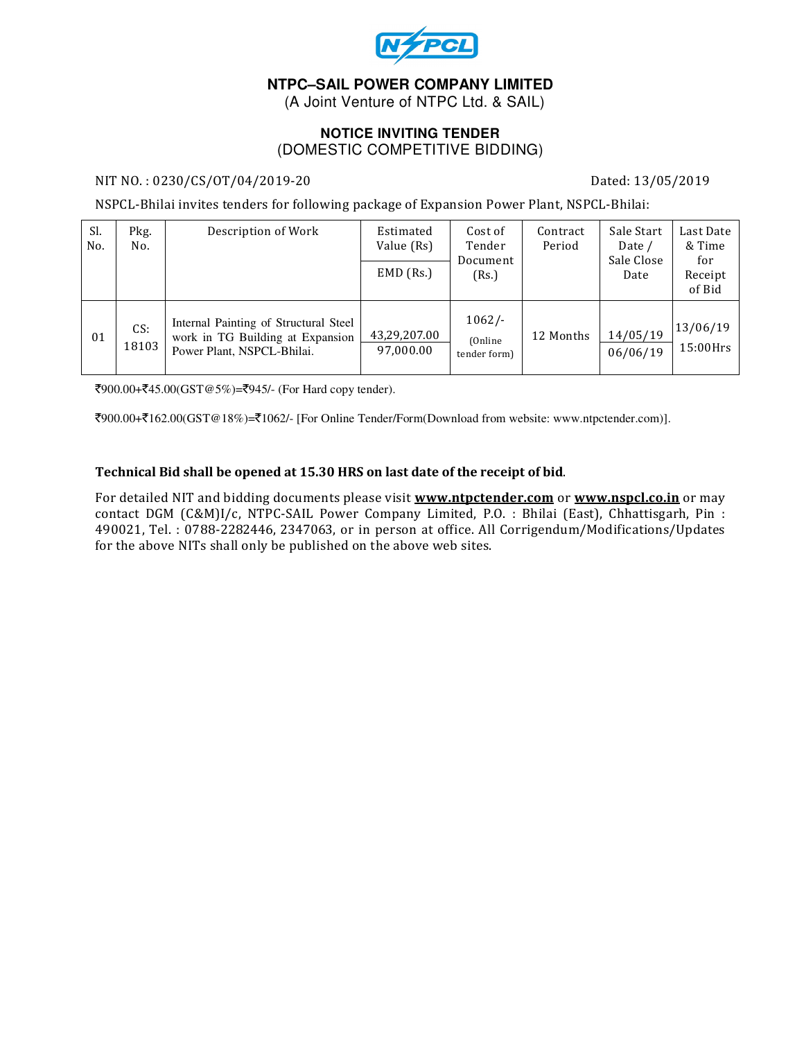

# **NTPC–SAIL POWER COMPANY LIMITED**

(A Joint Venture of NTPC Ltd. & SAIL)

### **NOTICE INVITING TENDER**  (DOMESTIC COMPETITIVE BIDDING)

#### NIT NO.: 0230/CS/OT/04/2019-20 Dated: 13/05/2019

NSPCL-Bhilai invites tenders for following package of Expansion Power Plant, NSPCL-Bhilai:

| Sl.<br>No. | Pkg.<br>No.  | Description of Work                                                                                     | Estimated<br>Value (Rs)<br>$EMD$ (Rs.) | Cost of<br>Tender<br>Document<br>(Rs.) | Contract<br>Period | Sale Start<br>Date /<br>Sale Close<br>Date | Last Date<br>& Time<br>for<br>Receipt<br>of Bid |
|------------|--------------|---------------------------------------------------------------------------------------------------------|----------------------------------------|----------------------------------------|--------------------|--------------------------------------------|-------------------------------------------------|
| 01         | CS:<br>18103 | Internal Painting of Structural Steel<br>work in TG Building at Expansion<br>Power Plant, NSPCL-Bhilai. | 43,29,207.00<br>97,000.00              | $1062/-$<br>(Online)<br>tender form)   | 12 Months          | 14/05/19<br>06/06/19                       | 13/06/19<br>$15:00$ Hrs                         |

`900.00+`45.00(GST@5%)=`945/- (For Hard copy tender).

`900.00+`162.00(GST@18%)=`1062/- [For Online Tender/Form(Download from website: www.ntpctender.com)].

#### Technical Bid shall be opened at 15.30 HRS on last date of the receipt of bid.

For detailed NIT and bidding documents please visit www.ntpctender.com or www.nspcl.co.in or may contact DGM (C&M)I/c, NTPC-SAIL Power Company Limited, P.O. : Bhilai (East), Chhattisgarh, Pin : 490021, Tel. : 0788-2282446, 2347063, or in person at office. All Corrigendum/Modifications/Updates for the above NITs shall only be published on the above web sites.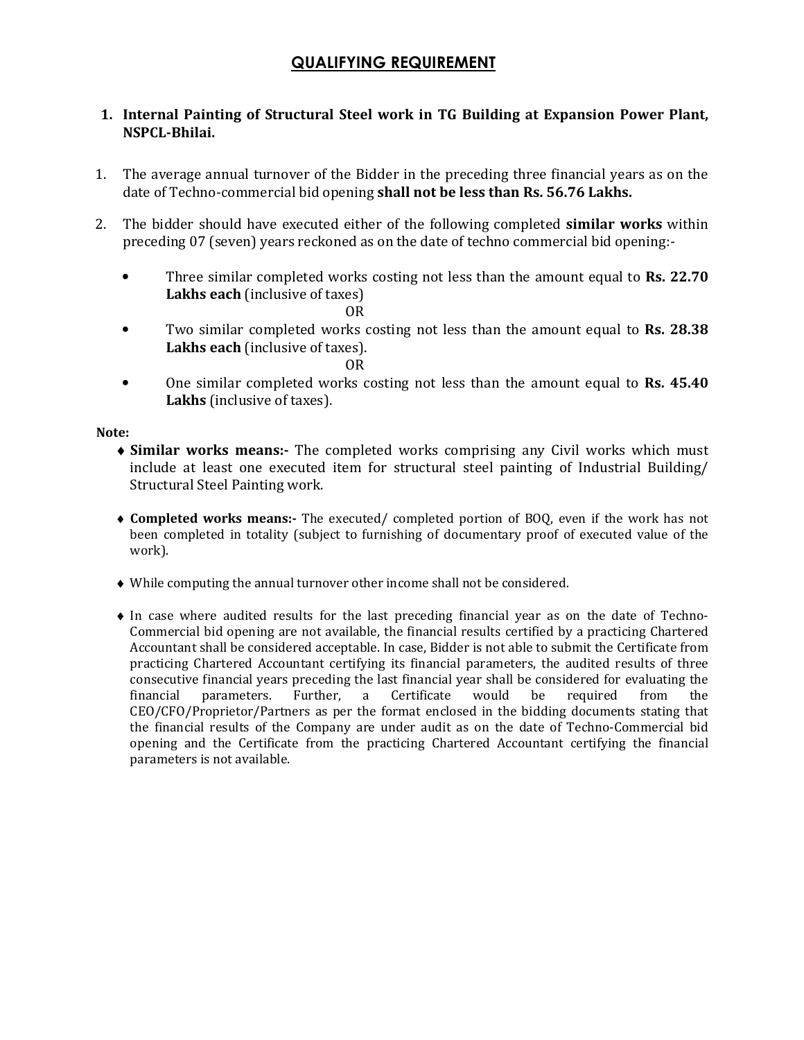# QUALIFYING REQUIREMENT

## 1. Internal Painting of Structural Steel work in TG Building at Expansion Power Plant, NSPCL-Bhilai.

- 1. The average annual turnover of the Bidder in the preceding three financial years as on the date of Techno-commercial bid opening shall not be less than Rs. 56.76 Lakhs.
- 2. The bidder should have executed either of the following completed similar works within preceding 07 (seven) years reckoned as on the date of techno commercial bid opening:-
	- Three similar completed works costing not less than the amount equal to **Rs. 22.70** Lakhs each (inclusive of taxes)

OR

- Two similar completed works costing not less than the amount equal to **Rs. 28.38** Lakhs each (inclusive of taxes).
- OR • One similar completed works costing not less than the amount equal to Rs. 45.40 Lakhs (inclusive of taxes).

Note:

- ♦ Similar works means:- The completed works comprising any Civil works which must include at least one executed item for structural steel painting of Industrial Building/ Structural Steel Painting work.
- ♦ Completed works means:- The executed/ completed portion of BOQ, even if the work has not been completed in totality (subject to furnishing of documentary proof of executed value of the work).
- ♦ While computing the annual turnover other income shall not be considered.
- ♦ In case where audited results for the last preceding financial year as on the date of Techno-Commercial bid opening are not available, the financial results certified by a practicing Chartered Accountant shall be considered acceptable. In case, Bidder is not able to submit the Certificate from practicing Chartered Accountant certifying its financial parameters, the audited results of three consecutive financial years preceding the last financial year shall be considered for evaluating the financial parameters. Further, a Certificate would be required from the CEO/CFO/Proprietor/Partners as per the format enclosed in the bidding documents stating that the financial results of the Company are under audit as on the date of Techno-Commercial bid opening and the Certificate from the practicing Chartered Accountant certifying the financial parameters is not available.